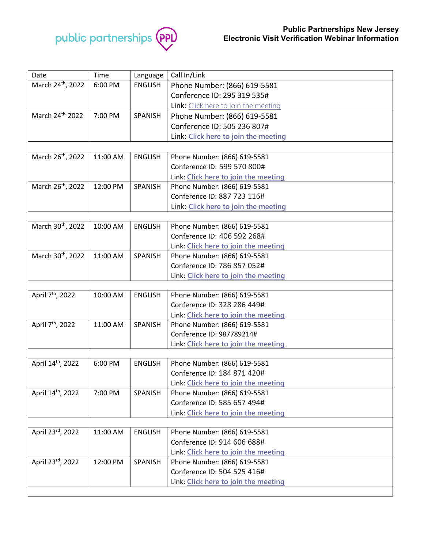

| Date                          | Time     | Language       | Call In/Link                                                |  |  |
|-------------------------------|----------|----------------|-------------------------------------------------------------|--|--|
| March 24th, 2022              | 6:00 PM  | <b>ENGLISH</b> | Phone Number: (866) 619-5581                                |  |  |
|                               |          |                | Conference ID: 295 319 535#                                 |  |  |
|                               |          |                | Link: Click here to join the meeting                        |  |  |
| March 24 <sup>th,</sup> 2022  | 7:00 PM  | SPANISH        | Phone Number: (866) 619-5581                                |  |  |
|                               |          |                | Conference ID: 505 236 807#                                 |  |  |
|                               |          |                | Link: Click here to join the meeting                        |  |  |
|                               |          |                |                                                             |  |  |
| March 26 <sup>th</sup> , 2022 | 11:00 AM | <b>ENGLISH</b> | Phone Number: (866) 619-5581                                |  |  |
|                               |          |                | Conference ID: 599 570 800#                                 |  |  |
|                               |          |                | Link: Click here to join the meeting                        |  |  |
| March 26 <sup>th</sup> , 2022 | 12:00 PM | SPANISH        | Phone Number: (866) 619-5581                                |  |  |
|                               |          |                | Conference ID: 887 723 116#                                 |  |  |
|                               |          |                | Link: Click here to join the meeting                        |  |  |
|                               |          |                |                                                             |  |  |
| March 30 <sup>th</sup> , 2022 | 10:00 AM | <b>ENGLISH</b> | Phone Number: (866) 619-5581                                |  |  |
|                               |          |                | Conference ID: 406 592 268#                                 |  |  |
|                               |          |                | Link: Click here to join the meeting                        |  |  |
| March 30 <sup>th</sup> , 2022 | 11:00 AM | SPANISH        | Phone Number: (866) 619-5581                                |  |  |
|                               |          |                | Conference ID: 786 857 052#                                 |  |  |
|                               |          |                | Link: Click here to join the meeting                        |  |  |
|                               |          |                |                                                             |  |  |
| April 7 <sup>th</sup> , 2022  | 10:00 AM | <b>ENGLISH</b> | Phone Number: (866) 619-5581                                |  |  |
|                               |          |                | Conference ID: 328 286 449#                                 |  |  |
|                               |          |                | Link: Click here to join the meeting                        |  |  |
| April 7 <sup>th</sup> , 2022  | 11:00 AM | SPANISH        | Phone Number: (866) 619-5581                                |  |  |
|                               |          |                | Conference ID: 987789214#                                   |  |  |
|                               |          |                | Link: Click here to join the meeting                        |  |  |
| April 14th, 2022              | 6:00 PM  |                |                                                             |  |  |
|                               |          | <b>ENGLISH</b> | Phone Number: (866) 619-5581<br>Conference ID: 184 871 420# |  |  |
|                               |          |                | Link: Click here to join the meeting                        |  |  |
| April 14 <sup>th</sup> , 2022 | 7:00 PM  | SPANISH        | Phone Number: (866) 619-5581                                |  |  |
|                               |          |                | Conference ID: 585 657 494#                                 |  |  |
|                               |          |                | Link: Click here to join the meeting                        |  |  |
|                               |          |                |                                                             |  |  |
| April 23rd, 2022              | 11:00 AM | <b>ENGLISH</b> | Phone Number: (866) 619-5581                                |  |  |
|                               |          |                | Conference ID: 914 606 688#                                 |  |  |
|                               |          |                | Link: Click here to join the meeting                        |  |  |
| April 23rd, 2022              | 12:00 PM | SPANISH        | Phone Number: (866) 619-5581                                |  |  |
|                               |          |                | Conference ID: 504 525 416#                                 |  |  |
|                               |          |                | Link: Click here to join the meeting                        |  |  |
|                               |          |                |                                                             |  |  |